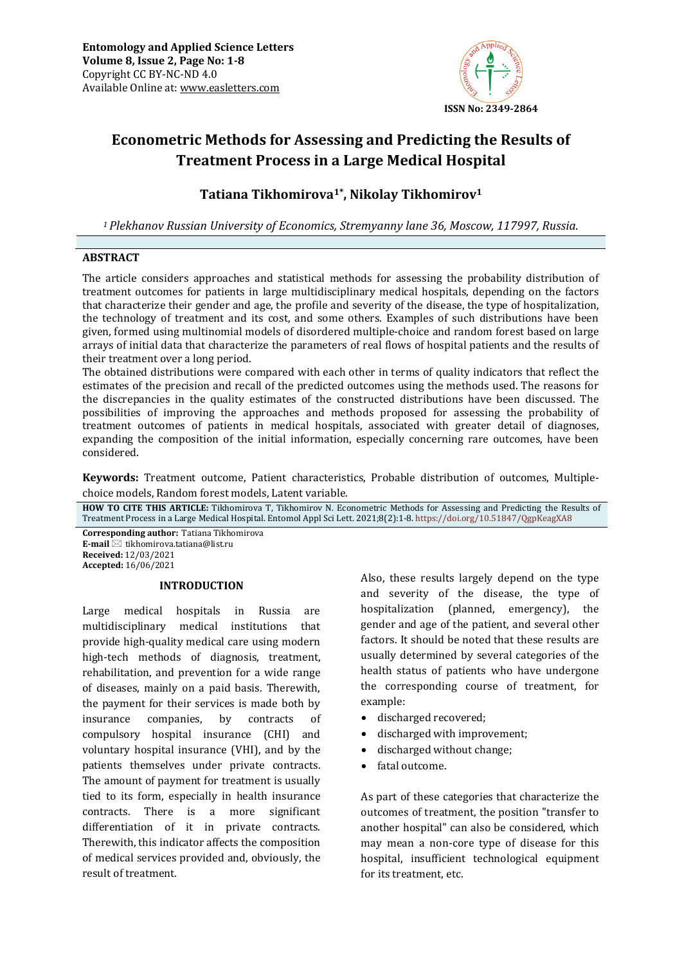

# **Econometric Methods for Assessing and Predicting the Results of Treatment Process in a Large Medical Hospital**

## **Tatiana Tikhomirova1\* , Nikolay Tikhomirov<sup>1</sup>**

*<sup>1</sup>Plekhanov Russian University of Economics, Stremyanny lane 36, Moscow, 117997, Russia.*

### **ABSTRACT**

The article considers approaches and statistical methods for assessing the probability distribution of treatment outcomes for patients in large multidisciplinary medical hospitals, depending on the factors that characterize their gender and age, the profile and severity of the disease, the type of hospitalization, the technology of treatment and its cost, and some others. Examples of such distributions have been given, formed using multinomial models of disordered multiple-choice and random forest based on large arrays of initial data that characterize the parameters of real flows of hospital patients and the results of their treatment over a long period.

The obtained distributions were compared with each other in terms of quality indicators that reflect the estimates of the precision and recall of the predicted outcomes using the methods used. The reasons for the discrepancies in the quality estimates of the constructed distributions have been discussed. The possibilities of improving the approaches and methods proposed for assessing the probability of treatment outcomes of patients in medical hospitals, associated with greater detail of diagnoses, expanding the composition of the initial information, especially concerning rare outcomes, have been considered.

**Keywords:** Treatment outcome, Patient characteristics, Probable distribution of outcomes, Multiplechoice models, Random forest models, Latent variable*.*

**HOW TO CITE THIS ARTICLE:** Tikhomirova T, Tikhomirov N. Econometric Methods for Assessing and Predicting the Results of Treatment Process in a Large Medical Hospital. Entomol Appl Sci Lett. 2021;8(2):1-8. <https://doi.org/10.51847/QgpKeagXA8>

**Corresponding author:** Tatiana Tikhomirova **E-mail** ⊠ tikhomirova.tatiana@list.ru **Received:** 12/03/2021 **Accepted:** 16/06/2021

### **INTRODUCTION**

Large medical hospitals in Russia are multidisciplinary medical institutions that provide high-quality medical care using modern high-tech methods of diagnosis, treatment, rehabilitation, and prevention for a wide range of diseases, mainly on a paid basis. Therewith, the payment for their services is made both by insurance companies, by contracts of compulsory hospital insurance (CHI) and voluntary hospital insurance (VHI), and by the patients themselves under private contracts. The amount of payment for treatment is usually tied to its form, especially in health insurance contracts. There is a more significant differentiation of it in private contracts. Therewith, this indicator affects the composition of medical services provided and, obviously, the result of treatment.

Also, these results largely depend on the type and severity of the disease, the type of hospitalization (planned, emergency), the gender and age of the patient, and several other factors. It should be noted that these results are usually determined by several categories of the health status of patients who have undergone the corresponding course of treatment, for example:

- discharged recovered;
- discharged with improvement;
- discharged without change;
- fatal outcome.

As part of these categories that characterize the outcomes of treatment, the position "transfer to another hospital" can also be considered, which may mean a non-core type of disease for this hospital, insufficient technological equipment for its treatment, etc.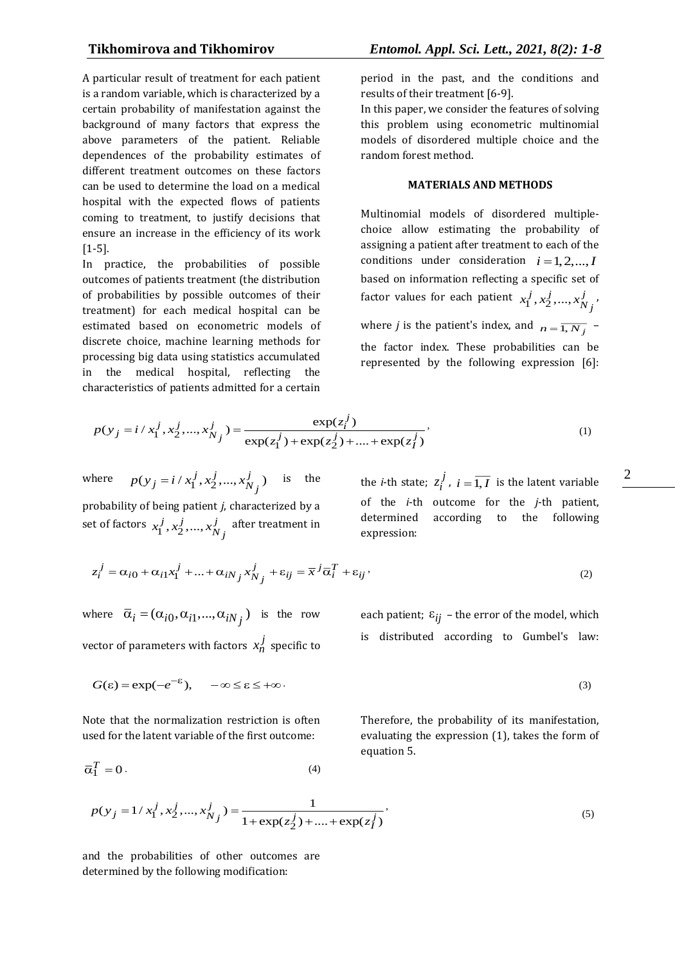A particular result of treatment for each patient is a random variable, which is characterized by a certain probability of manifestation against the background of many factors that express the above parameters of the patient. Reliable dependences of the probability estimates of different treatment outcomes on these factors can be used to determine the load on a medical hospital with the expected flows of patients coming to treatment, to justify decisions that ensure an increase in the efficiency of its work [1-5].

In practice, the probabilities of possible outcomes of patients treatment (the distribution of probabilities by possible outcomes of their treatment) for each medical hospital can be estimated based on econometric models of discrete choice, machine learning methods for processing big data using statistics accumulated in the medical hospital, reflecting the

period in the past, and the conditions and results of their treatment [6-9].

In this paper, we consider the features of solving this problem using econometric multinomial models of disordered multiple choice and the random forest method.

### **MATERIALS AND METHODS**

Multinomial models of disordered multiplechoice allow estimating the probability of assigning a patient after treatment to each of the conditions under consideration  $i = 1, 2, ..., I$ based on information reflecting a specific set of factor values for each patient  $x_1^j, x_2^j, ..., x_N^j$ *<sup>N</sup> j*  $x_1^j, x_2^j, \ldots, x_{N}^j$ where *j* is the patient's index, and  $n = \overline{1, N_j}$ the factor index. These probabilities can be represented by the following expression [6]:

characteristics of patients admitted for a certain  
\n
$$
p(y_j = i / x_1^j, x_2^j, ..., x_{N_j}^j) = \frac{\exp(z_i^j)}{\exp(z_1^j) + \exp(z_2^j) + .... + \exp(z_j^j)},
$$
\n(1)

where  $p(y_j = i / x_1^j, x_2^j, ..., x_{N_j}^j)$  is the

probability of being patient *j*, characterized by a set of factors  $x_1^j, x_2^j, ..., x_N^j$  $x_1^j$ ,  $x_2^j$ , ...,  $x_{N_j}^j$  after treatment in the *i*-th state;  $z_i^j$  $z_i^J$ ,  $i = \overline{1, I}$  is the latent variable of the *i*-th outcome for the *j*-th patient, determined according to the following expression:

$$
z_i^j = \alpha_{i0} + \alpha_{i1} x_1^j + \dots + \alpha_{iN_j} x_{N_j}^j + \varepsilon_{ij} = \overline{x}^j \overline{\alpha}_i^T + \varepsilon_{ij},
$$
\n(2)

where  $\overline{\alpha}_i = (\alpha_{i0}, \alpha_{i1}, ..., \alpha_{iN_f})$  is the row vector of parameters with factors  $x_n^j$  specific to

each patient; 
$$
\varepsilon_{ij}
$$
 – the error of the model, which  
is distributed according to Gumbel's law:

$$
G(\varepsilon) = \exp(-e^{-\varepsilon}), \quad -\infty \le \varepsilon \le +\infty. \tag{3}
$$

Note that the normalization restriction is often used for the latent variable of the first outcome:

$$
\overline{\alpha}_1^T = 0. \tag{4}
$$

$$
(\mathbf{3})
$$

Therefore, the probability of its manifestation, evaluating the expression (1), takes the form of equation 5.

$$
p(y_j = 1/x_1^j, x_2^j, ..., x_{N_j}^j) = \frac{1}{1 + \exp(z_2^j) + ... + \exp(z_I^j)},
$$
\n(5)

and the probabilities of other outcomes are determined by the following modification: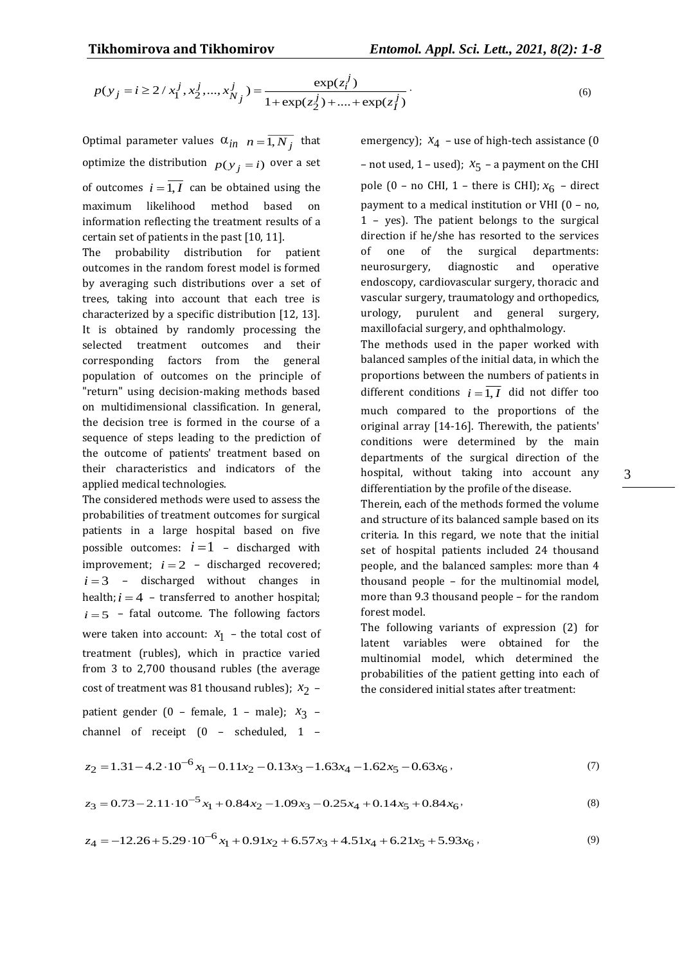(6)

$$
p(y_j = i \ge 2 / x_1^j, x_2^j, ..., x_{N_j}^j) = \frac{\exp(z_i^j)}{1 + \exp(z_2^j) + ... + \exp(z_j^j)}.
$$

Optimal parameter values  $\alpha_{in}$   $n = \overline{1, N_j}$  that optimize the distribution  $p(y_j = i)$  over a set of outcomes  $i = 1, I$  can be obtained using the maximum likelihood method based on information reflecting the treatment results of a certain set of patients in the past [10, 11].

The probability distribution for patient outcomes in the random forest model is formed by averaging such distributions over a set of trees, taking into account that each tree is characterized by a specific distribution [12, 13]. It is obtained by randomly processing the selected treatment outcomes and their corresponding factors from the general population of outcomes on the principle of "return" using decision-making methods based on multidimensional classification. In general, the decision tree is formed in the course of a sequence of steps leading to the prediction of the outcome of patients' treatment based on their characteristics and indicators of the applied medical technologies.

The considered methods were used to assess the probabilities of treatment outcomes for surgical patients in a large hospital based on five possible outcomes:  $i=1$  – discharged with improvement;  $i = 2 -$  discharged recovered;  $i=3$  – discharged without changes in health;  $i = 4$  - transferred to another hospital;  $i = 5$  – fatal outcome. The following factors were taken into account:  $x_1$  – the total cost of treatment (rubles), which in practice varied from 3 to 2,700 thousand rubles (the average cost of treatment was 81 thousand rubles);  $x_2$  patient gender (0 – female, 1 – male);  $x_3$  –

channel of receipt (0 – scheduled, 1 –

emergency);  $x_4$  – use of high-tech assistance (0  $-$  not used,  $1$  – used);  $x_5$  – a payment on the CHI pole (0 – no CHI, 1 – there is CHI);  $x_6$  – direct payment to a medical institution or VHI (0 – no, 1 – yes). The patient belongs to the surgical direction if he/she has resorted to the services of one of the surgical departments: neurosurgery, diagnostic and operative endoscopy, cardiovascular surgery, thoracic and vascular surgery, traumatology and orthopedics, urology, purulent and general surgery, maxillofacial surgery, and ophthalmology.

The methods used in the paper worked with balanced samples of the initial data, in which the proportions between the numbers of patients in different conditions  $i = 1, I$  did not differ too much compared to the proportions of the original array [14-16]. Therewith, the patients' conditions were determined by the main departments of the surgical direction of the hospital, without taking into account any differentiation by the profile of the disease.

Therein, each of the methods formed the volume and structure of its balanced sample based on its criteria. In this regard, we note that the initial set of hospital patients included 24 thousand people, and the balanced samples: more than 4 thousand people – for the multinomial model, more than 9.3 thousand people – for the random forest model.

The following variants of expression (2) for latent variables were obtained for the multinomial model, which determined the probabilities of the patient getting into each of the considered initial states after treatment:

$$
z_2 = 1.31 - 4.2 \cdot 10^{-6} x_1 - 0.11 x_2 - 0.13 x_3 - 1.63 x_4 - 1.62 x_5 - 0.63 x_6, \tag{7}
$$

$$
z_3 = 0.73 - 2.11 \cdot 10^{-5} x_1 + 0.84 x_2 - 1.09 x_3 - 0.25 x_4 + 0.14 x_5 + 0.84 x_6,
$$
\n(8)

$$
z_4 = -12.26 + 5.29 \cdot 10^{-6} x_1 + 0.91x_2 + 6.57x_3 + 4.51x_4 + 6.21x_5 + 5.93x_6,
$$
\n<sup>(9)</sup>

3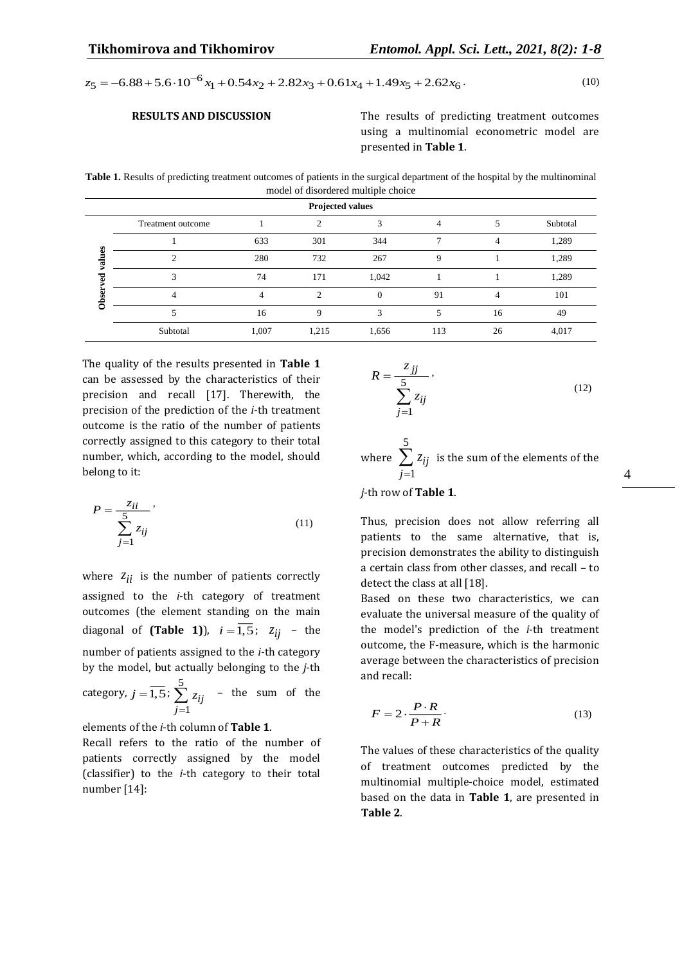$z_5 = -6.88 + 5.6 \cdot 10^{-6} x_1 + 0.54 x_2 + 2.82 x_3 + 0.61 x_4 + 1.49 x_5 + 2.62 x_6$  (10)

**RESULTS AND DISCUSSION** The results of predicting treatment outcomes using a multinomial econometric model are presented in **Table 1**.

**Table 1.** Results of predicting treatment outcomes of patients in the surgical department of the hospital by the multinominal model of disordered multiple choice

| $\sim$<br><b>Projected values</b> |                   |       |                             |          |     |                |          |  |
|-----------------------------------|-------------------|-------|-----------------------------|----------|-----|----------------|----------|--|
|                                   | Treatment outcome |       | ↑                           |          |     |                | Subtotal |  |
| B                                 |                   | 633   | 301                         | 344      |     | 4              | 1,289    |  |
| g                                 | C                 | 280   | 732                         | 267      | 9   |                | 1,289    |  |
|                                   | 3                 | 74    | 171                         | 1,042    |     |                | 1,289    |  |
|                                   |                   |       | $\mathcal{D}_{\mathcal{L}}$ | $\Omega$ | 91  | $\overline{4}$ | 101      |  |
|                                   |                   | 16    | 9                           | 3        | 5   | 16             | 49       |  |
|                                   | Subtotal          | 1,007 | 1,215                       | 1,656    | 113 | 26             | 4,017    |  |

The quality of the results presented in **Table 1** can be assessed by the characteristics of their precision and recall [17]. Therewith, the precision of the prediction of the *i*-th treatment outcome is the ratio of the number of patients correctly assigned to this category to their total number, which, according to the model, should belong to it:

$$
P = \frac{z_{ii}}{\sum_{j=1}^{5} z_{ij}}\tag{11}
$$

where  $z_{ii}$  is the number of patients correctly assigned to the *i*-th category of treatment outcomes (the element standing on the main diagonal of **(Table 1)**),  $i = 1, 5$ ;  $z_{ij}$  – the number of patients assigned to the *i*-th category by the model, but actually belonging to the *j*-th category,  $j=\overline{1,5}$ ;  $\sum_{i=1}^{5}$ 1 *ij j z*  $\sum_{i=1} z_{ij}$  – the sum of the

elements of the *i*-th column of **Table 1**.

Recall refers to the ratio of the number of patients correctly assigned by the model (classifier) to the *i*-th category to their total number [14]:

$$
R = \frac{z_{jj}}{\sum_{j=1}^{5} z_{ij}},
$$
\n(12)

where 5 1 *ij j*  $\sum z_{ij}$  is the sum of the elements of the ═

*j*-th row of **Table 1**.

Thus, precision does not allow referring all patients to the same alternative, that is, precision demonstrates the ability to distinguish a certain class from other classes, and recall – to detect the class at all [18].

Based on these two characteristics, we can evaluate the universal measure of the quality of the model's prediction of the *i*-th treatment outcome, the F-measure, which is the harmonic average between the characteristics of precision and recall:

$$
F = 2 \cdot \frac{P \cdot R}{P + R} \tag{13}
$$

The values of these characteristics of the quality of treatment outcomes predicted by the multinomial multiple-choice model, estimated based on the data in **Table 1**, are presented in **Table 2**.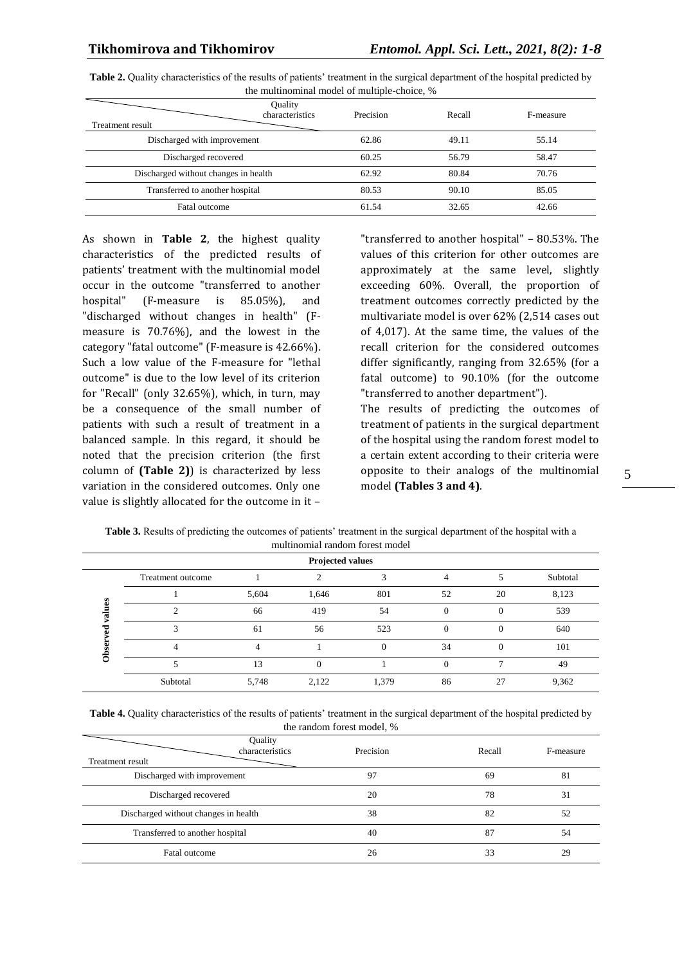| <b>Treatment result</b>              | Quality<br>characteristics | Precision | Recall | F-measure |
|--------------------------------------|----------------------------|-----------|--------|-----------|
| Discharged with improvement          | 62.86                      | 49.11     | 55.14  |           |
| Discharged recovered                 | 60.25                      | 56.79     | 58.47  |           |
| Discharged without changes in health | 62.92                      | 80.84     | 70.76  |           |
| Transferred to another hospital      | 80.53                      | 90.10     | 85.05  |           |
| Fatal outcome                        | 61.54                      | 32.65     | 42.66  |           |

**Table 2.** Quality characteristics of the results of patients' treatment in the surgical department of the hospital predicted by the multinominal model of multiple-choice, %

As shown in **Table 2**, the highest quality characteristics of the predicted results of patients' treatment with the multinomial model occur in the outcome "transferred to another hospital" (F-measure is 85.05%), and "discharged without changes in health" (Fmeasure is 70.76%), and the lowest in the category "fatal outcome" (F-measure is 42.66%). Such a low value of the F-measure for "lethal outcome" is due to the low level of its criterion for "Recall" (only 32.65%), which, in turn, may be a consequence of the small number of patients with such a result of treatment in a balanced sample. In this regard, it should be noted that the precision criterion (the first column of **(Table 2)**) is characterized by less variation in the considered outcomes. Only one value is slightly allocated for the outcome in it –

"transferred to another hospital" – 80.53%. The values of this criterion for other outcomes are approximately at the same level, slightly exceeding 60%. Overall, the proportion of treatment outcomes correctly predicted by the multivariate model is over 62% (2,514 cases out of 4,017). At the same time, the values of the recall criterion for the considered outcomes differ significantly, ranging from 32.65% (for a fatal outcome) to 90.10% (for the outcome "transferred to another department").

The results of predicting the outcomes of treatment of patients in the surgical department of the hospital using the random forest model to a certain extent according to their criteria were opposite to their analogs of the multinomial model **(Tables 3 and 4)**.

| THUILIIQHIIQI TAHUQIII TOTUST IIIQUUT |                   |       |          |       |          |          |          |  |
|---------------------------------------|-------------------|-------|----------|-------|----------|----------|----------|--|
| <b>Projected values</b>               |                   |       |          |       |          |          |          |  |
|                                       | Treatment outcome |       |          |       | 4        |          | Subtotal |  |
| S.                                    |                   | 5,604 | 1,646    | 801   | 52       | 20       | 8,123    |  |
| ನ                                     |                   | 66    | 419      | 54    | $\Omega$ | $\left($ | 539      |  |
|                                       |                   | 61    | 56       | 523   | 0        |          | 640      |  |
|                                       |                   |       |          |       | 34       | $\Omega$ | 101      |  |
|                                       |                   | 13    | $\theta$ |       | 0        |          | 49       |  |
|                                       | Subtotal          | 5,748 | 2,122    | 1,379 | 86       | 27       | 9,362    |  |

**Table 3.** Results of predicting the outcomes of patients' treatment in the surgical department of the hospital with a multinomial random forest model

| Table 4. Quality characteristics of the results of patients' treatment in the surgical department of the hospital predicted by |  |  |  |  |  |  |  |
|--------------------------------------------------------------------------------------------------------------------------------|--|--|--|--|--|--|--|
| the random forest model, %                                                                                                     |  |  |  |  |  |  |  |

| Treatment result                     | Quality<br>characteristics | Precision | Recall | F-measure |
|--------------------------------------|----------------------------|-----------|--------|-----------|
| Discharged with improvement          |                            | 97        | 69     | 81        |
| Discharged recovered                 |                            | 20        | 78     | 31        |
| Discharged without changes in health |                            | 38        | 82     | 52        |
| Transferred to another hospital      |                            | 40        | 87     | 54        |
| Fatal outcome                        |                            | 26        | 33     | 29        |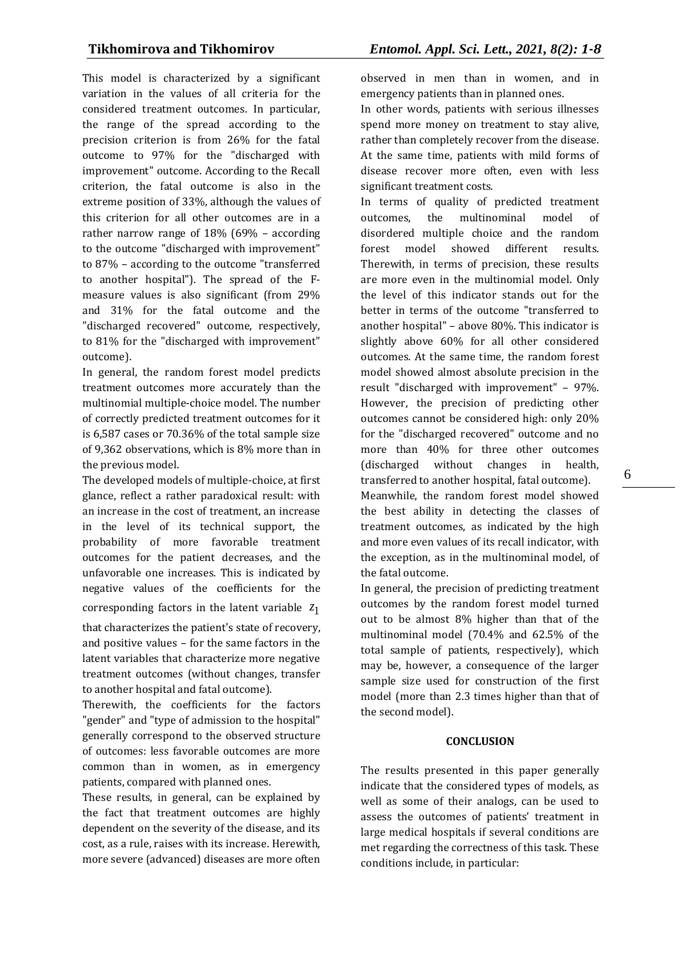This model is characterized by a significant variation in the values of all criteria for the considered treatment outcomes. In particular, the range of the spread according to the precision criterion is from 26% for the fatal outcome to 97% for the "discharged with improvement" outcome. According to the Recall criterion, the fatal outcome is also in the extreme position of 33%, although the values of this criterion for all other outcomes are in a rather narrow range of 18% (69% – according to the outcome "discharged with improvement" to 87% – according to the outcome "transferred to another hospital"). The spread of the Fmeasure values is also significant (from 29% and 31% for the fatal outcome and the "discharged recovered" outcome, respectively, to 81% for the "discharged with improvement" outcome).

In general, the random forest model predicts treatment outcomes more accurately than the multinomial multiple-choice model. The number of correctly predicted treatment outcomes for it is 6,587 cases or 70.36% of the total sample size of 9,362 observations, which is 8% more than in the previous model.

The developed models of multiple-choice, at first glance, reflect a rather paradoxical result: with an increase in the cost of treatment, an increase in the level of its technical support, the probability of more favorable treatment outcomes for the patient decreases, and the unfavorable one increases. This is indicated by negative values of the coefficients for the corresponding factors in the latent variable 1 *z*

that characterizes the patient's state of recovery, and positive values – for the same factors in the latent variables that characterize more negative treatment outcomes (without changes, transfer to another hospital and fatal outcome).

Therewith, the coefficients for the factors "gender" and "type of admission to the hospital" generally correspond to the observed structure of outcomes: less favorable outcomes are more common than in women, as in emergency patients, compared with planned ones.

These results, in general, can be explained by the fact that treatment outcomes are highly dependent on the severity of the disease, and its cost, as a rule, raises with its increase. Herewith, more severe (advanced) diseases are more often

observed in men than in women, and in emergency patients than in planned ones.

In other words, patients with serious illnesses spend more money on treatment to stay alive, rather than completely recover from the disease. At the same time, patients with mild forms of disease recover more often, even with less significant treatment costs.

In terms of quality of predicted treatment outcomes, the multinominal model of disordered multiple choice and the random forest model showed different results. Therewith, in terms of precision, these results are more even in the multinomial model. Only the level of this indicator stands out for the better in terms of the outcome "transferred to another hospital" – above 80%. This indicator is slightly above 60% for all other considered outcomes. At the same time, the random forest model showed almost absolute precision in the result "discharged with improvement" – 97%. However, the precision of predicting other outcomes cannot be considered high: only 20% for the "discharged recovered" outcome and no more than 40% for three other outcomes (discharged without changes in health, transferred to another hospital, fatal outcome). Meanwhile, the random forest model showed the best ability in detecting the classes of treatment outcomes, as indicated by the high and more even values of its recall indicator, with the exception, as in the multinominal model, of the fatal outcome.

In general, the precision of predicting treatment outcomes by the random forest model turned out to be almost 8% higher than that of the multinominal model (70.4% and 62.5% of the total sample of patients, respectively), which may be, however, a consequence of the larger sample size used for construction of the first model (more than 2.3 times higher than that of the second model).

### **CONCLUSION**

The results presented in this paper generally indicate that the considered types of models, as well as some of their analogs, can be used to assess the outcomes of patients' treatment in large medical hospitals if several conditions are met regarding the correctness of this task. These conditions include, in particular: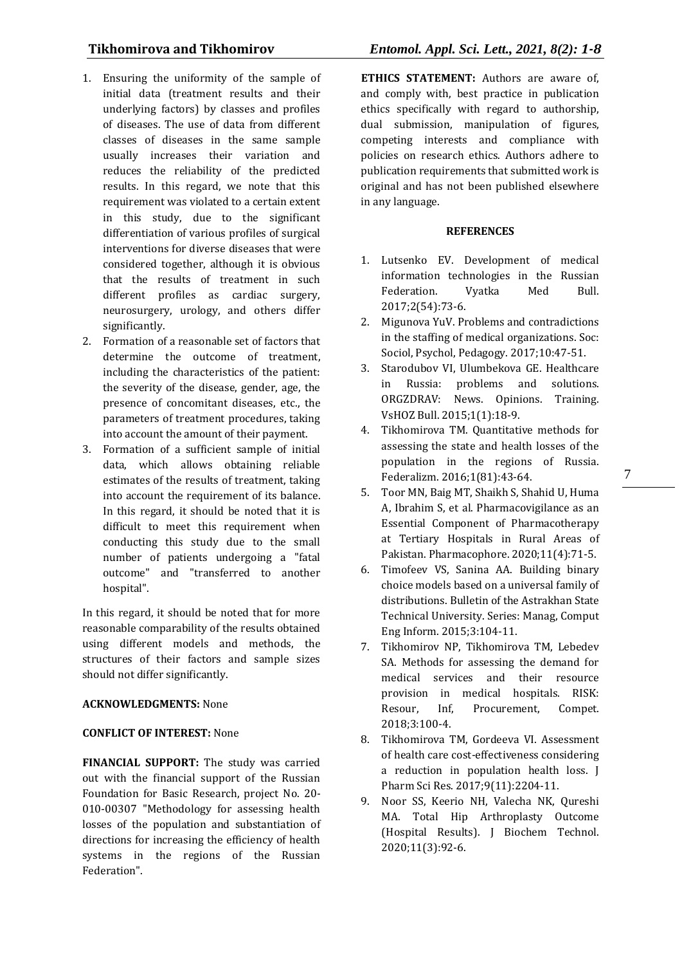- 1. Ensuring the uniformity of the sample of initial data (treatment results and their underlying factors) by classes and profiles of diseases. The use of data from different classes of diseases in the same sample usually increases their variation and reduces the reliability of the predicted results. In this regard, we note that this requirement was violated to a certain extent in this study, due to the significant differentiation of various profiles of surgical interventions for diverse diseases that were considered together, although it is obvious that the results of treatment in such different profiles as cardiac surgery, neurosurgery, urology, and others differ significantly.
- 2. Formation of a reasonable set of factors that determine the outcome of treatment, including the characteristics of the patient: the severity of the disease, gender, age, the presence of concomitant diseases, etc., the parameters of treatment procedures, taking into account the amount of their payment.
- 3. Formation of a sufficient sample of initial data, which allows obtaining reliable estimates of the results of treatment, taking into account the requirement of its balance. In this regard, it should be noted that it is difficult to meet this requirement when conducting this study due to the small number of patients undergoing a "fatal outcome" and "transferred to another hospital".

In this regard, it should be noted that for more reasonable comparability of the results obtained using different models and methods, the structures of their factors and sample sizes should not differ significantly.

### **ACKNOWLEDGMENTS:** None

### **CONFLICT OF INTEREST:** None

**FINANCIAL SUPPORT:** The study was carried out with the financial support of the Russian Foundation for Basic Research, project No. 20- 010-00307 "Methodology for assessing health losses of the population and substantiation of directions for increasing the efficiency of health systems in the regions of the Russian Federation".

**ETHICS STATEMENT:** Authors are aware of, and comply with, best practice in publication ethics specifically with regard to authorship, dual submission, manipulation of figures, competing interests and compliance with policies on research ethics. Authors adhere to publication requirements that submitted work is original and has not been published elsewhere in any language.

### **REFERENCES**

- 1. Lutsenko EV. Development of medical information technologies in the Russian Federation. Vyatka Med Bull. 2017;2(54):73-6.
- 2. Migunova YuV. Problems and contradictions in the staffing of medical organizations. Soc: Sociol, Psychol, Pedagogy. 2017;10:47-51.
- 3. Starodubov VI, Ulumbekova GE. Healthcare in Russia: problems and solutions. ORGZDRAV: News. Opinions. Training. VsHOZ Bull. 2015;1(1):18-9.
- 4. Tikhomirova TM. Quantitative methods for assessing the state and health losses of the population in the regions of Russia. Federalizm. 2016;1(81):43-64.

7

- 5. Toor MN, Baig MT, Shaikh S, Shahid U, Huma A, Ibrahim S, et al. Pharmacovigilance as an Essential Component of Pharmacotherapy at Tertiary Hospitals in Rural Areas of Pakistan. Pharmacophore. 2020;11(4):71-5.
- 6. Timofeev VS, Sanina AA. Building binary choice models based on a universal family of distributions. Bulletin of the Astrakhan State Technical University. Series: Manag, Comput Eng Inform. 2015;3:104-11.
- 7. Tikhomirov NP, Tikhomirova TM, Lebedev SA. Methods for assessing the demand for medical services and their resource provision in medical hospitals. RISK: Resour, Inf, Procurement, Compet. 2018;3:100-4.
- 8. Tikhomirova TM, Gordeeva VI. Assessment of health care cost-effectiveness considering a reduction in population health loss. J Pharm Sci Res. 2017;9(11):2204-11.
- 9. Noor SS, Keerio NH, Valecha NK, Qureshi MA. Total Hip Arthroplasty Outcome (Hospital Results). J Biochem Technol. 2020;11(3):92-6.